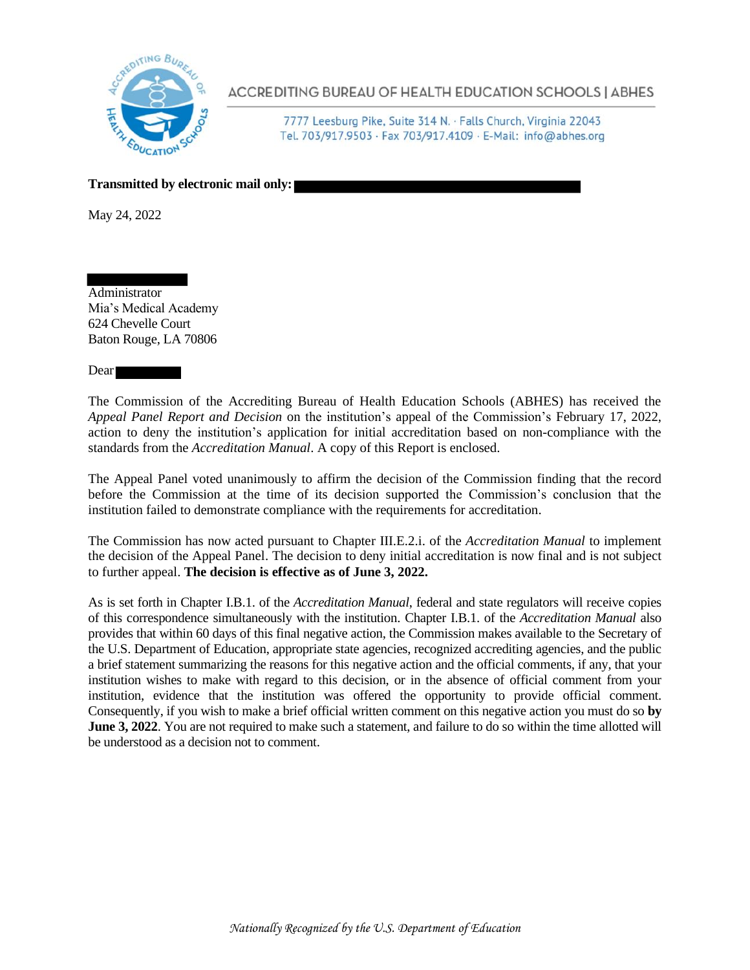

ACCREDITING BUREAU OF HEALTH EDUCATION SCHOOLS | ABHES

7777 Leesburg Pike, Suite 314 N. · Falls Church, Virginia 22043 Tel. 703/917.9503 · Fax 703/917.4109 · E-Mail: info@abhes.org

**Transmitted by electronic mail only:**

May 24, 2022

Administrator Mia's Medical Academy 624 Chevelle Court Baton Rouge, LA 70806

Dear

The Commission of the Accrediting Bureau of Health Education Schools (ABHES) has received the *Appeal Panel Report and Decision* on the institution's appeal of the Commission's February 17, 2022, action to deny the institution's application for initial accreditation based on non-compliance with the standards from the *Accreditation Manual*. A copy of this Report is enclosed.

The Appeal Panel voted unanimously to affirm the decision of the Commission finding that the record before the Commission at the time of its decision supported the Commission's conclusion that the institution failed to demonstrate compliance with the requirements for accreditation.

The Commission has now acted pursuant to Chapter III.E.2.i. of the *Accreditation Manual* to implement the decision of the Appeal Panel. The decision to deny initial accreditation is now final and is not subject to further appeal. **The decision is effective as of June 3, 2022.** 

As is set forth in Chapter I.B.1. of the *Accreditation Manual*, federal and state regulators will receive copies of this correspondence simultaneously with the institution. Chapter I.B.1. of the *Accreditation Manual* also provides that within 60 days of this final negative action, the Commission makes available to the Secretary of the U.S. Department of Education, appropriate state agencies, recognized accrediting agencies, and the public a brief statement summarizing the reasons for this negative action and the official comments, if any, that your institution wishes to make with regard to this decision, or in the absence of official comment from your institution, evidence that the institution was offered the opportunity to provide official comment. Consequently, if you wish to make a brief official written comment on this negative action you must do so **by June 3, 2022.** You are not required to make such a statement, and failure to do so within the time allotted will be understood as a decision not to comment.